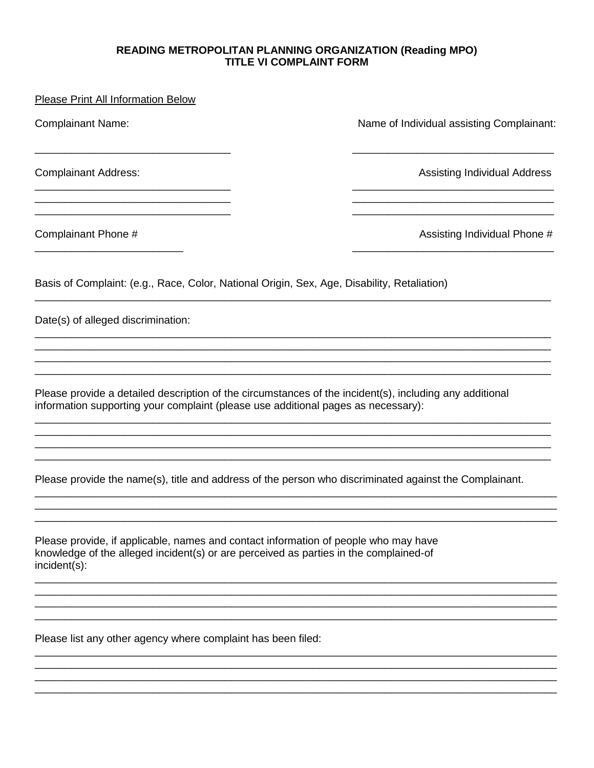## READING METROPOLITAN PLANNING ORGANIZATION (Reading MPO) **TITLE VI COMPLAINT FORM**

| <b>Please Print All Information Below</b>                                                                                                                                                    |                                           |
|----------------------------------------------------------------------------------------------------------------------------------------------------------------------------------------------|-------------------------------------------|
| <b>Complainant Name:</b>                                                                                                                                                                     | Name of Individual assisting Complainant: |
| <b>Complainant Address:</b>                                                                                                                                                                  | <b>Assisting Individual Address</b>       |
| Complainant Phone #                                                                                                                                                                          | Assisting Individual Phone #              |
| Basis of Complaint: (e.g., Race, Color, National Origin, Sex, Age, Disability, Retaliation)                                                                                                  |                                           |
| Date(s) of alleged discrimination:                                                                                                                                                           |                                           |
| Please provide a detailed description of the circumstances of the incident(s), including any additional<br>information supporting your complaint (please use additional pages as necessary): |                                           |
| Please provide the name(s), title and address of the person who discriminated against the Complainant.                                                                                       |                                           |
| Please provide if applicable, names and contact information of people who may have                                                                                                           |                                           |

Please provide, if applicable, names and contact information of people who may have knowledge of the alleged incident(s) or are perceived as parties in the complained-of  $incident(s)$ :

Please list any other agency where complaint has been filed: